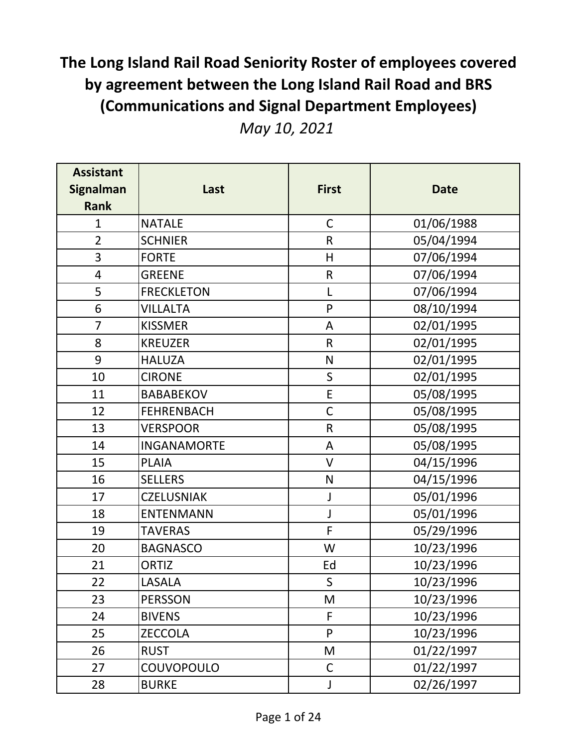| <b>Assistant</b>                | Last               | <b>First</b> | <b>Date</b> |
|---------------------------------|--------------------|--------------|-------------|
| <b>Signalman</b><br><b>Rank</b> |                    |              |             |
| $\mathbf{1}$                    | <b>NATALE</b>      | $\mathsf C$  | 01/06/1988  |
| $\overline{2}$                  | <b>SCHNIER</b>     | $\mathsf R$  | 05/04/1994  |
| 3                               | <b>FORTE</b>       | H            | 07/06/1994  |
| $\overline{\mathbf{4}}$         | <b>GREENE</b>      | ${\sf R}$    | 07/06/1994  |
| 5                               | <b>FRECKLETON</b>  | L            | 07/06/1994  |
| 6                               | <b>VILLALTA</b>    | $\mathsf{P}$ | 08/10/1994  |
| $\overline{7}$                  | <b>KISSMER</b>     | A            | 02/01/1995  |
| 8                               | <b>KREUZER</b>     | $\mathsf{R}$ | 02/01/1995  |
| 9                               | <b>HALUZA</b>      | $\mathsf{N}$ | 02/01/1995  |
| 10                              | <b>CIRONE</b>      | $\mathsf S$  | 02/01/1995  |
| 11                              | <b>BABABEKOV</b>   | E            | 05/08/1995  |
| 12                              | <b>FEHRENBACH</b>  | $\mathsf C$  | 05/08/1995  |
| 13                              | <b>VERSPOOR</b>    | $\mathsf R$  | 05/08/1995  |
| 14                              | <b>INGANAMORTE</b> | A            | 05/08/1995  |
| 15                              | <b>PLAIA</b>       | $\vee$       | 04/15/1996  |
| 16                              | <b>SELLERS</b>     | ${\sf N}$    | 04/15/1996  |
| 17                              | <b>CZELUSNIAK</b>  | J            | 05/01/1996  |
| 18                              | <b>ENTENMANN</b>   | J            | 05/01/1996  |
| 19                              | <b>TAVERAS</b>     | F            | 05/29/1996  |
| 20                              | <b>BAGNASCO</b>    | W            | 10/23/1996  |
| 21                              | <b>ORTIZ</b>       | Ed           | 10/23/1996  |
| 22                              | LASALA             | S            | 10/23/1996  |
| 23                              | <b>PERSSON</b>     | M            | 10/23/1996  |
| 24                              | <b>BIVENS</b>      | F            | 10/23/1996  |
| 25                              | <b>ZECCOLA</b>     | P            | 10/23/1996  |
| 26                              | <b>RUST</b>        | M            | 01/22/1997  |
| 27                              | COUVOPOULO         | $\mathsf{C}$ | 01/22/1997  |
| 28                              | <b>BURKE</b>       | J            | 02/26/1997  |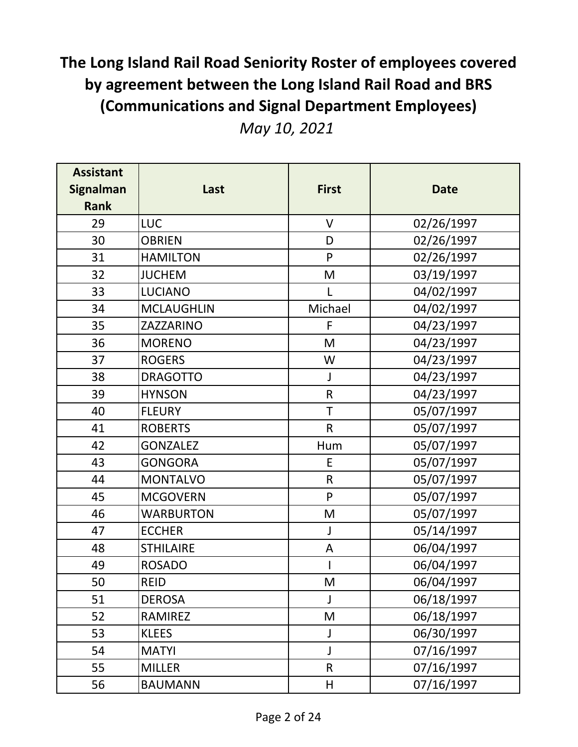|  |  | May 10, 2021 |
|--|--|--------------|
|--|--|--------------|

| <b>Assistant</b><br><b>Signalman</b> | Last              | <b>First</b> | <b>Date</b> |
|--------------------------------------|-------------------|--------------|-------------|
| <b>Rank</b>                          |                   |              |             |
| 29                                   | <b>LUC</b>        | $\vee$       | 02/26/1997  |
| 30                                   | <b>OBRIEN</b>     | D            | 02/26/1997  |
| 31                                   | <b>HAMILTON</b>   | P            | 02/26/1997  |
| 32                                   | <b>JUCHEM</b>     | M            | 03/19/1997  |
| 33                                   | <b>LUCIANO</b>    | L            | 04/02/1997  |
| 34                                   | <b>MCLAUGHLIN</b> | Michael      | 04/02/1997  |
| 35                                   | ZAZZARINO         | F            | 04/23/1997  |
| 36                                   | <b>MORENO</b>     | M            | 04/23/1997  |
| 37                                   | <b>ROGERS</b>     | W            | 04/23/1997  |
| 38                                   | <b>DRAGOTTO</b>   | $\mathsf J$  | 04/23/1997  |
| 39                                   | <b>HYNSON</b>     | ${\sf R}$    | 04/23/1997  |
| 40                                   | <b>FLEURY</b>     | $\top$       | 05/07/1997  |
| 41                                   | <b>ROBERTS</b>    | $\mathsf{R}$ | 05/07/1997  |
| 42                                   | <b>GONZALEZ</b>   | Hum          | 05/07/1997  |
| 43                                   | <b>GONGORA</b>    | E            | 05/07/1997  |
| 44                                   | <b>MONTALVO</b>   | $\mathsf R$  | 05/07/1997  |
| 45                                   | <b>MCGOVERN</b>   | P            | 05/07/1997  |
| 46                                   | <b>WARBURTON</b>  | M            | 05/07/1997  |
| 47                                   | <b>ECCHER</b>     | J            | 05/14/1997  |
| 48                                   | <b>STHILAIRE</b>  | A            | 06/04/1997  |
| 49                                   | <b>ROSADO</b>     |              | 06/04/1997  |
| 50                                   | <b>REID</b>       | M            | 06/04/1997  |
| 51                                   | <b>DEROSA</b>     | J            | 06/18/1997  |
| 52                                   | RAMIREZ           | M            | 06/18/1997  |
| 53                                   | <b>KLEES</b>      | J            | 06/30/1997  |
| 54                                   | <b>MATYI</b>      | J            | 07/16/1997  |
| 55                                   | <b>MILLER</b>     | $\mathsf{R}$ | 07/16/1997  |
| 56                                   | <b>BAUMANN</b>    | Н            | 07/16/1997  |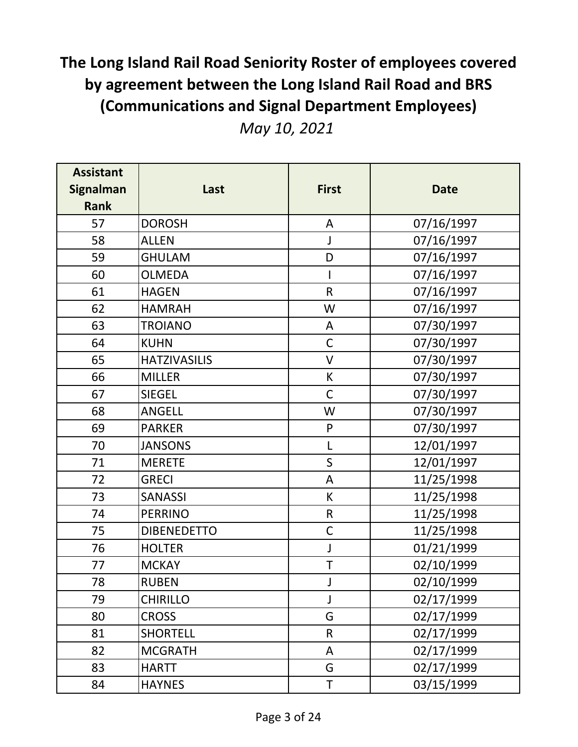|  |  | May 10, 2021 |
|--|--|--------------|
|--|--|--------------|

| <b>Assistant</b><br><b>Signalman</b> | Last                | <b>First</b> | <b>Date</b> |
|--------------------------------------|---------------------|--------------|-------------|
| <b>Rank</b>                          |                     |              |             |
| 57                                   | <b>DOROSH</b>       | A            | 07/16/1997  |
| 58                                   | <b>ALLEN</b>        | J            | 07/16/1997  |
| 59                                   | <b>GHULAM</b>       | D            | 07/16/1997  |
| 60                                   | <b>OLMEDA</b>       |              | 07/16/1997  |
| 61                                   | <b>HAGEN</b>        | R            | 07/16/1997  |
| 62                                   | <b>HAMRAH</b>       | W            | 07/16/1997  |
| 63                                   | <b>TROIANO</b>      | A            | 07/30/1997  |
| 64                                   | <b>KUHN</b>         | $\mathsf C$  | 07/30/1997  |
| 65                                   | <b>HATZIVASILIS</b> | $\vee$       | 07/30/1997  |
| 66                                   | <b>MILLER</b>       | К            | 07/30/1997  |
| 67                                   | <b>SIEGEL</b>       | $\mathsf C$  | 07/30/1997  |
| 68                                   | <b>ANGELL</b>       | W            | 07/30/1997  |
| 69                                   | <b>PARKER</b>       | ${\sf P}$    | 07/30/1997  |
| 70                                   | <b>JANSONS</b>      | L            | 12/01/1997  |
| 71                                   | <b>MERETE</b>       | $\mathsf{S}$ | 12/01/1997  |
| 72                                   | <b>GRECI</b>        | A            | 11/25/1998  |
| 73                                   | <b>SANASSI</b>      | К            | 11/25/1998  |
| 74                                   | <b>PERRINO</b>      | $\mathsf R$  | 11/25/1998  |
| 75                                   | <b>DIBENEDETTO</b>  | $\mathsf C$  | 11/25/1998  |
| 76                                   | <b>HOLTER</b>       | J            | 01/21/1999  |
| 77                                   | <b>MCKAY</b>        | T            | 02/10/1999  |
| 78                                   | <b>RUBEN</b>        | J            | 02/10/1999  |
| 79                                   | <b>CHIRILLO</b>     | J            | 02/17/1999  |
| 80                                   | <b>CROSS</b>        | G            | 02/17/1999  |
| 81                                   | <b>SHORTELL</b>     | $\mathsf{R}$ | 02/17/1999  |
| 82                                   | <b>MCGRATH</b>      | A            | 02/17/1999  |
| 83                                   | <b>HARTT</b>        | G            | 02/17/1999  |
| 84                                   | <b>HAYNES</b>       | Τ            | 03/15/1999  |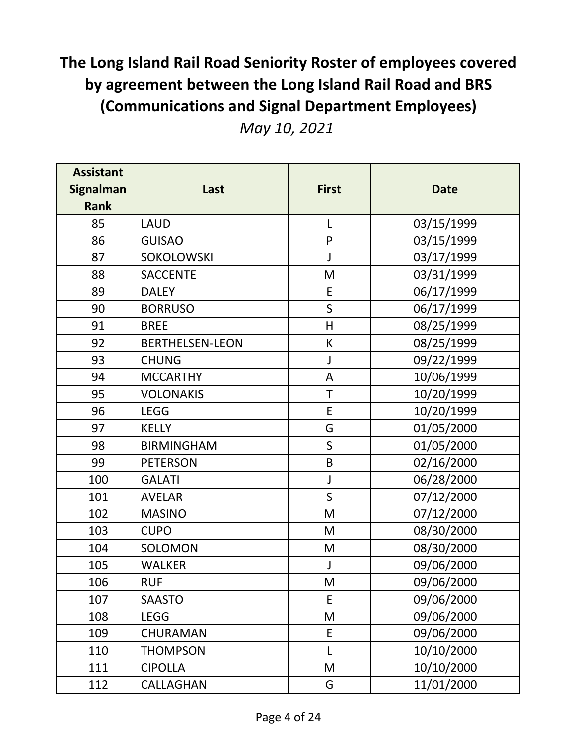|  |  | May 10, 2021 |
|--|--|--------------|
|--|--|--------------|

| <b>Assistant</b><br><b>Signalman</b> | Last                   | <b>First</b> | <b>Date</b> |
|--------------------------------------|------------------------|--------------|-------------|
| <b>Rank</b>                          |                        |              |             |
| 85                                   | <b>LAUD</b>            | L            | 03/15/1999  |
| 86                                   | <b>GUISAO</b>          | $\mathsf{P}$ | 03/15/1999  |
| 87                                   | SOKOLOWSKI             | J            | 03/17/1999  |
| 88                                   | <b>SACCENTE</b>        | M            | 03/31/1999  |
| 89                                   | <b>DALEY</b>           | E            | 06/17/1999  |
| 90                                   | <b>BORRUSO</b>         | $\mathsf{S}$ | 06/17/1999  |
| 91                                   | <b>BREE</b>            | H            | 08/25/1999  |
| 92                                   | <b>BERTHELSEN-LEON</b> | К            | 08/25/1999  |
| 93                                   | <b>CHUNG</b>           | J            | 09/22/1999  |
| 94                                   | <b>MCCARTHY</b>        | A            | 10/06/1999  |
| 95                                   | <b>VOLONAKIS</b>       | T            | 10/20/1999  |
| 96                                   | <b>LEGG</b>            | E            | 10/20/1999  |
| 97                                   | <b>KELLY</b>           | G            | 01/05/2000  |
| 98                                   | <b>BIRMINGHAM</b>      | $\mathsf{S}$ | 01/05/2000  |
| 99                                   | <b>PETERSON</b>        | B            | 02/16/2000  |
| 100                                  | <b>GALATI</b>          | J            | 06/28/2000  |
| 101                                  | <b>AVELAR</b>          | $\mathsf{S}$ | 07/12/2000  |
| 102                                  | <b>MASINO</b>          | M            | 07/12/2000  |
| 103                                  | <b>CUPO</b>            | M            | 08/30/2000  |
| 104                                  | SOLOMON                | M            | 08/30/2000  |
| 105                                  | <b>WALKER</b>          | J            | 09/06/2000  |
| 106                                  | <b>RUF</b>             | M            | 09/06/2000  |
| 107                                  | <b>SAASTO</b>          | E            | 09/06/2000  |
| 108                                  | <b>LEGG</b>            | M            | 09/06/2000  |
| 109                                  | CHURAMAN               | E            | 09/06/2000  |
| 110                                  | <b>THOMPSON</b>        | L            | 10/10/2000  |
| 111                                  | <b>CIPOLLA</b>         | M            | 10/10/2000  |
| 112                                  | CALLAGHAN              | G            | 11/01/2000  |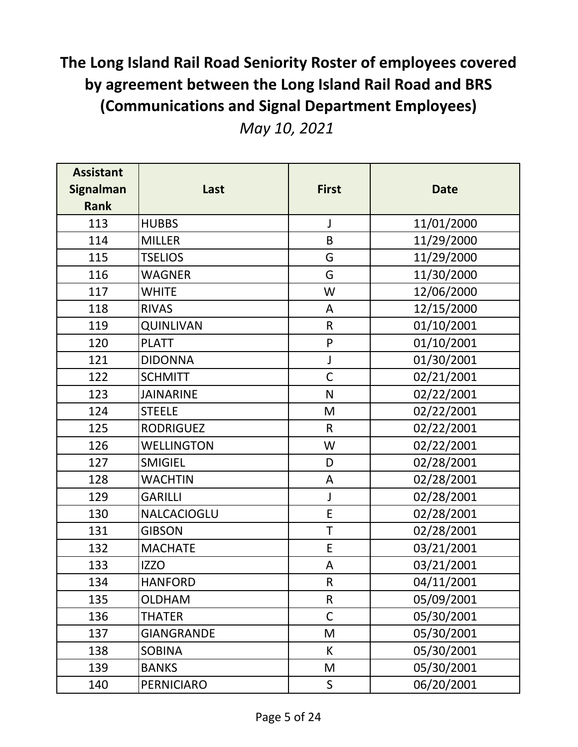|  |  | May 10, 2021 |
|--|--|--------------|
|--|--|--------------|

| <b>Assistant</b><br><b>Signalman</b><br><b>Rank</b> | Last              | <b>First</b> | <b>Date</b> |
|-----------------------------------------------------|-------------------|--------------|-------------|
| 113                                                 | <b>HUBBS</b>      | J            | 11/01/2000  |
| 114                                                 | <b>MILLER</b>     | B            | 11/29/2000  |
| 115                                                 | <b>TSELIOS</b>    | G            | 11/29/2000  |
| 116                                                 | <b>WAGNER</b>     | G            | 11/30/2000  |
| 117                                                 | <b>WHITE</b>      | W            | 12/06/2000  |
| 118                                                 | <b>RIVAS</b>      | A            | 12/15/2000  |
| 119                                                 | <b>QUINLIVAN</b>  | $\mathsf R$  | 01/10/2001  |
| 120                                                 | <b>PLATT</b>      | ${\sf P}$    | 01/10/2001  |
| 121                                                 | <b>DIDONNA</b>    | $\int$       | 01/30/2001  |
| 122                                                 | <b>SCHMITT</b>    | $\mathsf C$  | 02/21/2001  |
| 123                                                 | <b>JAINARINE</b>  | N            | 02/22/2001  |
| 124                                                 | <b>STEELE</b>     | M            | 02/22/2001  |
| 125                                                 | <b>RODRIGUEZ</b>  | $\mathsf{R}$ | 02/22/2001  |
| 126                                                 | <b>WELLINGTON</b> | W            | 02/22/2001  |
| 127                                                 | <b>SMIGIEL</b>    | D            | 02/28/2001  |
| 128                                                 | <b>WACHTIN</b>    | A            | 02/28/2001  |
| 129                                                 | <b>GARILLI</b>    | J            | 02/28/2001  |
| 130                                                 | NALCACIOGLU       | E            | 02/28/2001  |
| 131                                                 | <b>GIBSON</b>     | T            | 02/28/2001  |
| 132                                                 | <b>MACHATE</b>    | E            | 03/21/2001  |
| 133                                                 | <b>IZZO</b>       | A            | 03/21/2001  |
| 134                                                 | <b>HANFORD</b>    | $\mathsf{R}$ | 04/11/2001  |
| 135                                                 | <b>OLDHAM</b>     | $\mathsf{R}$ | 05/09/2001  |
| 136                                                 | <b>THATER</b>     | $\mathsf C$  | 05/30/2001  |
| 137                                                 | <b>GIANGRANDE</b> | M            | 05/30/2001  |
| 138                                                 | <b>SOBINA</b>     | К            | 05/30/2001  |
| 139                                                 | <b>BANKS</b>      | M            | 05/30/2001  |
| 140                                                 | PERNICIARO        | S            | 06/20/2001  |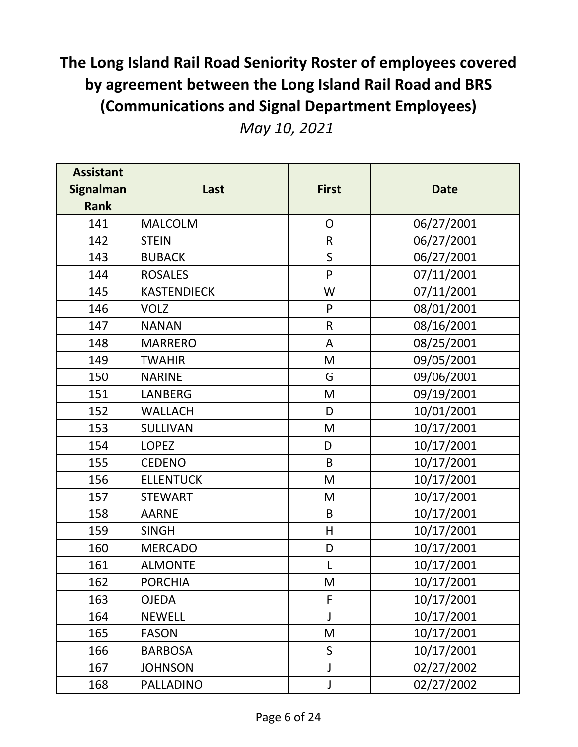| <b>Assistant</b><br><b>Signalman</b><br><b>Rank</b> | Last               | <b>First</b>   | <b>Date</b> |
|-----------------------------------------------------|--------------------|----------------|-------------|
| 141                                                 | <b>MALCOLM</b>     | $\overline{O}$ | 06/27/2001  |
| 142                                                 | <b>STEIN</b>       | $\mathsf{R}$   | 06/27/2001  |
| 143                                                 | <b>BUBACK</b>      | $\mathsf{S}$   | 06/27/2001  |
| 144                                                 | <b>ROSALES</b>     | P              | 07/11/2001  |
| 145                                                 | <b>KASTENDIECK</b> | W              | 07/11/2001  |
| 146                                                 | <b>VOLZ</b>        | ${\sf P}$      | 08/01/2001  |
| 147                                                 | <b>NANAN</b>       | $\mathsf{R}$   | 08/16/2001  |
| 148                                                 | <b>MARRERO</b>     | A              | 08/25/2001  |
| 149                                                 | <b>TWAHIR</b>      | M              | 09/05/2001  |
| 150                                                 | <b>NARINE</b>      | G              | 09/06/2001  |
| 151                                                 | <b>LANBERG</b>     | M              | 09/19/2001  |
| 152                                                 | <b>WALLACH</b>     | D              | 10/01/2001  |
| 153                                                 | <b>SULLIVAN</b>    | M              | 10/17/2001  |
| 154                                                 | <b>LOPEZ</b>       | D              | 10/17/2001  |
| 155                                                 | <b>CEDENO</b>      | B              | 10/17/2001  |
| 156                                                 | <b>ELLENTUCK</b>   | M              | 10/17/2001  |
| 157                                                 | <b>STEWART</b>     | M              | 10/17/2001  |
| 158                                                 | <b>AARNE</b>       | B              | 10/17/2001  |
| 159                                                 | <b>SINGH</b>       | H              | 10/17/2001  |
| 160                                                 | <b>MERCADO</b>     | D              | 10/17/2001  |
| 161                                                 | <b>ALMONTE</b>     | L              | 10/17/2001  |
| 162                                                 | <b>PORCHIA</b>     | M              | 10/17/2001  |
| 163                                                 | OJEDA              | F              | 10/17/2001  |
| 164                                                 | <b>NEWELL</b>      | J              | 10/17/2001  |
| 165                                                 | <b>FASON</b>       | M              | 10/17/2001  |
| 166                                                 | <b>BARBOSA</b>     | $\mathsf{S}$   | 10/17/2001  |
| 167                                                 | <b>JOHNSON</b>     | $\mathsf J$    | 02/27/2002  |
| 168                                                 | <b>PALLADINO</b>   | $\mathsf J$    | 02/27/2002  |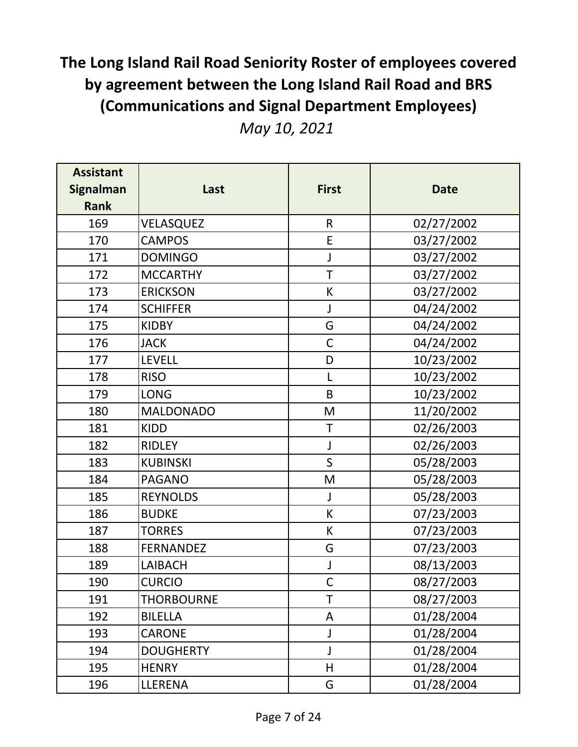|  |  | May 10, 2021 |
|--|--|--------------|
|--|--|--------------|

| <b>Assistant</b><br><b>Signalman</b><br><b>Rank</b> | Last              | <b>First</b> | <b>Date</b> |
|-----------------------------------------------------|-------------------|--------------|-------------|
| 169                                                 | VELASQUEZ         | $\mathsf{R}$ | 02/27/2002  |
| 170                                                 | <b>CAMPOS</b>     | E            | 03/27/2002  |
| 171                                                 | <b>DOMINGO</b>    | J            | 03/27/2002  |
| 172                                                 | <b>MCCARTHY</b>   | T            | 03/27/2002  |
| 173                                                 | <b>ERICKSON</b>   | К            | 03/27/2002  |
| 174                                                 | <b>SCHIFFER</b>   | J            | 04/24/2002  |
| 175                                                 | <b>KIDBY</b>      | G            | 04/24/2002  |
| 176                                                 | <b>JACK</b>       | $\mathsf C$  | 04/24/2002  |
| 177                                                 | <b>LEVELL</b>     | D            | 10/23/2002  |
| 178                                                 | <b>RISO</b>       | L            | 10/23/2002  |
| 179                                                 | <b>LONG</b>       | B            | 10/23/2002  |
| 180                                                 | <b>MALDONADO</b>  | M            | 11/20/2002  |
| 181                                                 | <b>KIDD</b>       | T            | 02/26/2003  |
| 182                                                 | <b>RIDLEY</b>     | J            | 02/26/2003  |
| 183                                                 | <b>KUBINSKI</b>   | $\mathsf S$  | 05/28/2003  |
| 184                                                 | <b>PAGANO</b>     | M            | 05/28/2003  |
| 185                                                 | <b>REYNOLDS</b>   | J            | 05/28/2003  |
| 186                                                 | <b>BUDKE</b>      | К            | 07/23/2003  |
| 187                                                 | <b>TORRES</b>     | К            | 07/23/2003  |
| 188                                                 | <b>FERNANDEZ</b>  | G            | 07/23/2003  |
| 189                                                 | <b>LAIBACH</b>    | J            | 08/13/2003  |
| 190                                                 | <b>CURCIO</b>     | $\mathsf{C}$ | 08/27/2003  |
| 191                                                 | <b>THORBOURNE</b> | T            | 08/27/2003  |
| 192                                                 | <b>BILELLA</b>    | A            | 01/28/2004  |
| 193                                                 | <b>CARONE</b>     | J            | 01/28/2004  |
| 194                                                 | <b>DOUGHERTY</b>  | J            | 01/28/2004  |
| 195                                                 | <b>HENRY</b>      | H            | 01/28/2004  |
| 196                                                 | LLERENA           | G            | 01/28/2004  |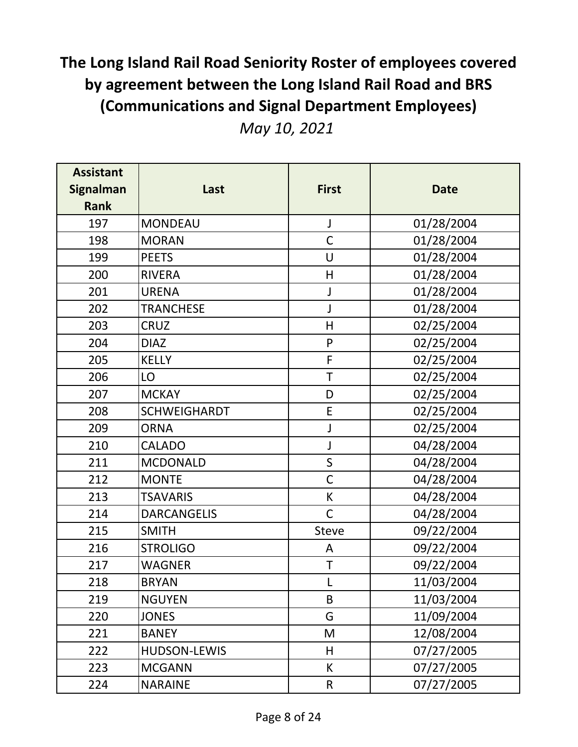|  |  | May 10, 2021 |
|--|--|--------------|
|--|--|--------------|

| <b>Assistant</b><br><b>Signalman</b><br><b>Rank</b> | Last                | <b>First</b> | <b>Date</b> |
|-----------------------------------------------------|---------------------|--------------|-------------|
| 197                                                 | <b>MONDEAU</b>      | J            | 01/28/2004  |
| 198                                                 | <b>MORAN</b>        | $\mathsf C$  | 01/28/2004  |
| 199                                                 | <b>PEETS</b>        | U            | 01/28/2004  |
| 200                                                 | <b>RIVERA</b>       | H            | 01/28/2004  |
| 201                                                 | <b>URENA</b>        | J            | 01/28/2004  |
| 202                                                 | <b>TRANCHESE</b>    | J            | 01/28/2004  |
| 203                                                 | <b>CRUZ</b>         | H            | 02/25/2004  |
| 204                                                 | <b>DIAZ</b>         | ${\sf P}$    | 02/25/2004  |
| 205                                                 | <b>KELLY</b>        | F            | 02/25/2004  |
| 206                                                 | LO                  | $\mathsf T$  | 02/25/2004  |
| 207                                                 | <b>MCKAY</b>        | D            | 02/25/2004  |
| 208                                                 | <b>SCHWEIGHARDT</b> | E            | 02/25/2004  |
| 209                                                 | <b>ORNA</b>         | J            | 02/25/2004  |
| 210                                                 | <b>CALADO</b>       | J            | 04/28/2004  |
| 211                                                 | <b>MCDONALD</b>     | $\sf S$      | 04/28/2004  |
| 212                                                 | <b>MONTE</b>        | $\mathsf C$  | 04/28/2004  |
| 213                                                 | <b>TSAVARIS</b>     | К            | 04/28/2004  |
| 214                                                 | <b>DARCANGELIS</b>  | $\mathsf C$  | 04/28/2004  |
| 215                                                 | <b>SMITH</b>        | <b>Steve</b> | 09/22/2004  |
| 216                                                 | <b>STROLIGO</b>     | A            | 09/22/2004  |
| 217                                                 | WAGNER              | T            | 09/22/2004  |
| 218                                                 | <b>BRYAN</b>        |              | 11/03/2004  |
| 219                                                 | <b>NGUYEN</b>       | B            | 11/03/2004  |
| 220                                                 | <b>JONES</b>        | G            | 11/09/2004  |
| 221                                                 | <b>BANEY</b>        | M            | 12/08/2004  |
| 222                                                 | <b>HUDSON-LEWIS</b> | H            | 07/27/2005  |
| 223                                                 | <b>MCGANN</b>       | K            | 07/27/2005  |
| 224                                                 | <b>NARAINE</b>      | R            | 07/27/2005  |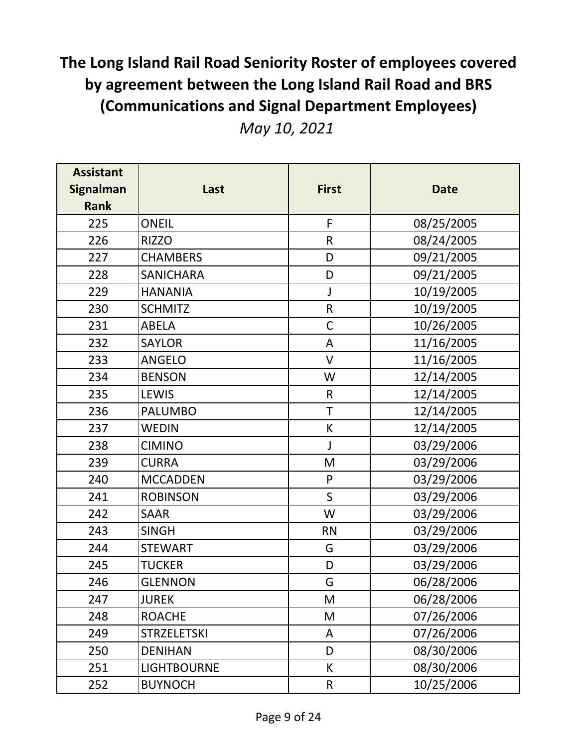|  |  | May 10, 2021 |
|--|--|--------------|
|--|--|--------------|

| <b>Assistant</b> |                    |              |             |
|------------------|--------------------|--------------|-------------|
| <b>Signalman</b> | Last               | <b>First</b> | <b>Date</b> |
| <b>Rank</b>      |                    |              |             |
| 225              | <b>ONEIL</b>       | F            | 08/25/2005  |
| 226              | <b>RIZZO</b>       | ${\sf R}$    | 08/24/2005  |
| 227              | <b>CHAMBERS</b>    | D            | 09/21/2005  |
| 228              | <b>SANICHARA</b>   | D            | 09/21/2005  |
| 229              | <b>HANANIA</b>     | J            | 10/19/2005  |
| 230              | <b>SCHMITZ</b>     | ${\sf R}$    | 10/19/2005  |
| 231              | <b>ABELA</b>       | $\mathsf C$  | 10/26/2005  |
| 232              | <b>SAYLOR</b>      | A            | 11/16/2005  |
| 233              | <b>ANGELO</b>      | $\vee$       | 11/16/2005  |
| 234              | <b>BENSON</b>      | W            | 12/14/2005  |
| 235              | <b>LEWIS</b>       | $\mathsf{R}$ | 12/14/2005  |
| 236              | <b>PALUMBO</b>     | $\top$       | 12/14/2005  |
| 237              | <b>WEDIN</b>       | $\sf K$      | 12/14/2005  |
| 238              | <b>CIMINO</b>      | J            | 03/29/2006  |
| 239              | <b>CURRA</b>       | M            | 03/29/2006  |
| 240              | <b>MCCADDEN</b>    | $\mathsf{P}$ | 03/29/2006  |
| 241              | <b>ROBINSON</b>    | $\mathsf{S}$ | 03/29/2006  |
| 242              | <b>SAAR</b>        | W            | 03/29/2006  |
| 243              | <b>SINGH</b>       | <b>RN</b>    | 03/29/2006  |
| 244              | <b>STEWART</b>     | G            | 03/29/2006  |
| 245              | <b>TUCKER</b>      | D            | 03/29/2006  |
| 246              | <b>GLENNON</b>     | G            | 06/28/2006  |
| 247              | <b>JUREK</b>       | M            | 06/28/2006  |
| 248              | <b>ROACHE</b>      | M            | 07/26/2006  |
| 249              | <b>STRZELETSKI</b> | A            | 07/26/2006  |
| 250              | <b>DENIHAN</b>     | D            | 08/30/2006  |
| 251              | <b>LIGHTBOURNE</b> | K            | 08/30/2006  |
| 252              | <b>BUYNOCH</b>     | $\mathsf R$  | 10/25/2006  |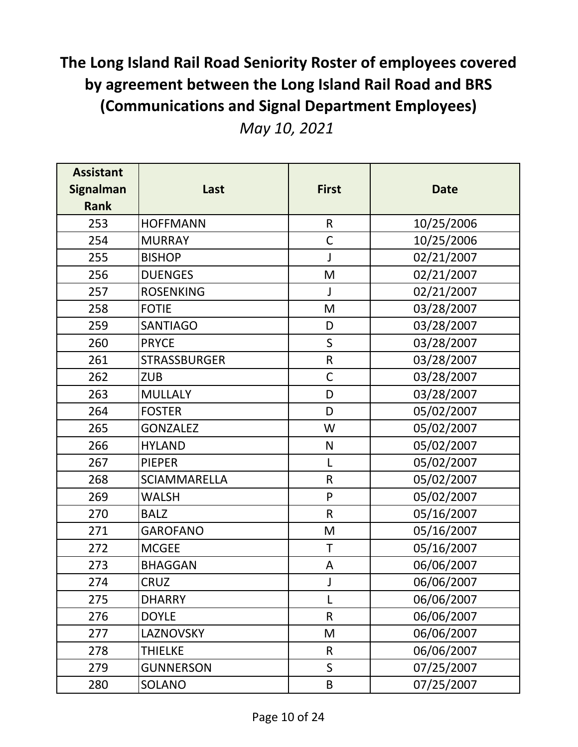|  |  | May 10, 2021 |
|--|--|--------------|
|--|--|--------------|

| <b>Assistant</b><br><b>Signalman</b><br><b>Rank</b> | Last                | <b>First</b> | <b>Date</b> |
|-----------------------------------------------------|---------------------|--------------|-------------|
| 253                                                 | <b>HOFFMANN</b>     | $\mathsf{R}$ | 10/25/2006  |
| 254                                                 | <b>MURRAY</b>       | $\mathsf C$  | 10/25/2006  |
| 255                                                 | <b>BISHOP</b>       | J            | 02/21/2007  |
| 256                                                 | <b>DUENGES</b>      | M            | 02/21/2007  |
| 257                                                 | <b>ROSENKING</b>    | J            | 02/21/2007  |
| 258                                                 | <b>FOTIE</b>        | M            | 03/28/2007  |
| 259                                                 | <b>SANTIAGO</b>     | D            | 03/28/2007  |
| 260                                                 | <b>PRYCE</b>        | $\sf S$      | 03/28/2007  |
| 261                                                 | <b>STRASSBURGER</b> | $\mathsf R$  | 03/28/2007  |
| 262                                                 | <b>ZUB</b>          | $\mathsf C$  | 03/28/2007  |
| 263                                                 | <b>MULLALY</b>      | D            | 03/28/2007  |
| 264                                                 | <b>FOSTER</b>       | D            | 05/02/2007  |
| 265                                                 | <b>GONZALEZ</b>     | W            | 05/02/2007  |
| 266                                                 | <b>HYLAND</b>       | $\mathsf{N}$ | 05/02/2007  |
| 267                                                 | <b>PIEPER</b>       | Г            | 05/02/2007  |
| 268                                                 | <b>SCIAMMARELLA</b> | ${\sf R}$    | 05/02/2007  |
| 269                                                 | WALSH               | ${\sf P}$    | 05/02/2007  |
| 270                                                 | <b>BALZ</b>         | $\mathsf{R}$ | 05/16/2007  |
| 271                                                 | <b>GAROFANO</b>     | M            | 05/16/2007  |
| 272                                                 | <b>MCGEE</b>        | T            | 05/16/2007  |
| 273                                                 | <b>BHAGGAN</b>      | A            | 06/06/2007  |
| 274                                                 | <b>CRUZ</b>         |              | 06/06/2007  |
| 275                                                 | DHARRY              | L            | 06/06/2007  |
| 276                                                 | DOYLE               | $\mathsf{R}$ | 06/06/2007  |
| 277                                                 | LAZNOVSKY           | M            | 06/06/2007  |
| 278                                                 | THIELKE             | $\mathsf{R}$ | 06/06/2007  |
| 279                                                 | <b>GUNNERSON</b>    | $\mathsf{S}$ | 07/25/2007  |
| 280                                                 | SOLANO              | $\sf B$      | 07/25/2007  |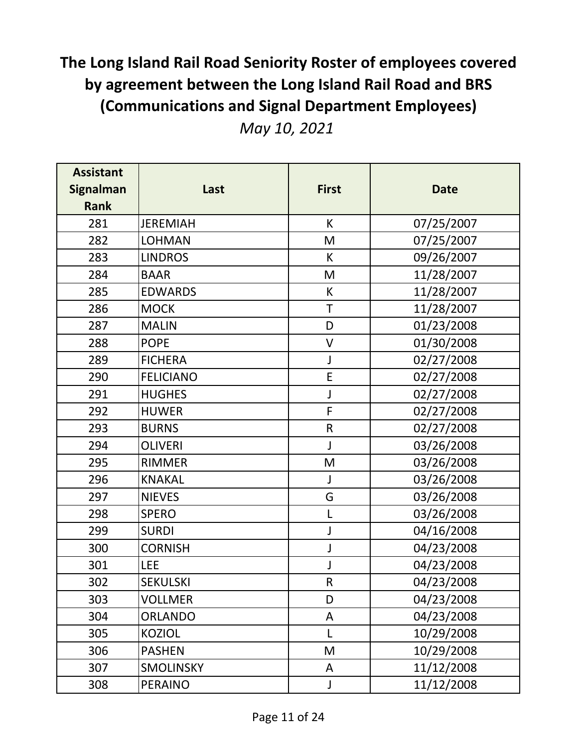|  |  | May 10, 2021 |
|--|--|--------------|
|--|--|--------------|

| <b>Assistant</b> |                  |              |             |
|------------------|------------------|--------------|-------------|
| <b>Signalman</b> | Last             | <b>First</b> | <b>Date</b> |
| <b>Rank</b>      |                  |              |             |
| 281              | <b>JEREMIAH</b>  | K            | 07/25/2007  |
| 282              | <b>LOHMAN</b>    | M            | 07/25/2007  |
| 283              | <b>LINDROS</b>   | K            | 09/26/2007  |
| 284              | <b>BAAR</b>      | M            | 11/28/2007  |
| 285              | <b>EDWARDS</b>   | К            | 11/28/2007  |
| 286              | <b>MOCK</b>      | T            | 11/28/2007  |
| 287              | <b>MALIN</b>     | D            | 01/23/2008  |
| 288              | <b>POPE</b>      | $\vee$       | 01/30/2008  |
| 289              | <b>FICHERA</b>   | J            | 02/27/2008  |
| 290              | <b>FELICIANO</b> | $\mathsf E$  | 02/27/2008  |
| 291              | <b>HUGHES</b>    | J            | 02/27/2008  |
| 292              | <b>HUWER</b>     | $\mathsf F$  | 02/27/2008  |
| 293              | <b>BURNS</b>     | $\mathsf R$  | 02/27/2008  |
| 294              | <b>OLIVERI</b>   | J            | 03/26/2008  |
| 295              | <b>RIMMER</b>    | M            | 03/26/2008  |
| 296              | <b>KNAKAL</b>    | J            | 03/26/2008  |
| 297              | <b>NIEVES</b>    | G            | 03/26/2008  |
| 298              | <b>SPERO</b>     | L            | 03/26/2008  |
| 299              | <b>SURDI</b>     | J            | 04/16/2008  |
| 300              | <b>CORNISH</b>   | J            | 04/23/2008  |
| 301              | <b>LEE</b>       | J            | 04/23/2008  |
| 302              | <b>SEKULSKI</b>  | $\mathsf R$  | 04/23/2008  |
| 303              | VOLLMER          | D            | 04/23/2008  |
| 304              | ORLANDO          | A            | 04/23/2008  |
| 305              | <b>KOZIOL</b>    | L            | 10/29/2008  |
| 306              | <b>PASHEN</b>    | M            | 10/29/2008  |
| 307              | <b>SMOLINSKY</b> | A            | 11/12/2008  |
| 308              | <b>PERAINO</b>   | J            | 11/12/2008  |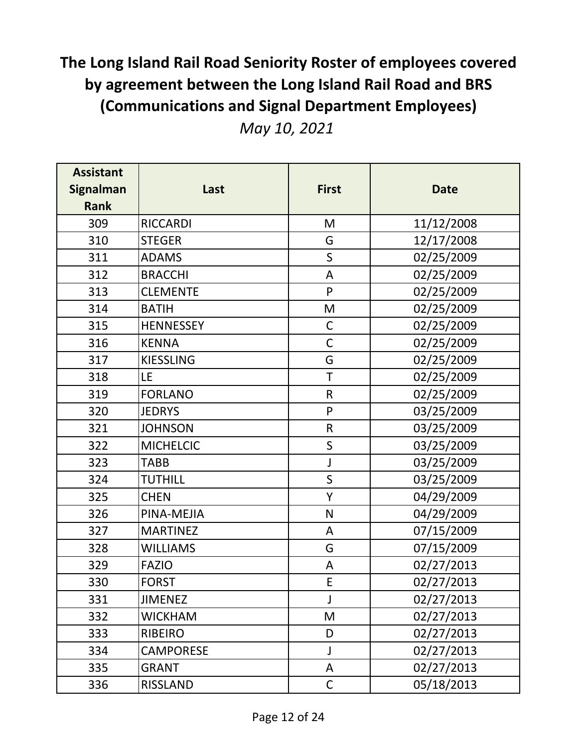| <b>Assistant</b><br><b>Signalman</b> | Last             | <b>First</b> | <b>Date</b> |
|--------------------------------------|------------------|--------------|-------------|
| <b>Rank</b>                          |                  |              |             |
| 309                                  | <b>RICCARDI</b>  | M            | 11/12/2008  |
| 310                                  | <b>STEGER</b>    | G            | 12/17/2008  |
| 311                                  | <b>ADAMS</b>     | $\mathsf S$  | 02/25/2009  |
| 312                                  | <b>BRACCHI</b>   | A            | 02/25/2009  |
| 313                                  | <b>CLEMENTE</b>  | P            | 02/25/2009  |
| 314                                  | <b>BATIH</b>     | M            | 02/25/2009  |
| 315                                  | <b>HENNESSEY</b> | $\mathsf C$  | 02/25/2009  |
| 316                                  | <b>KENNA</b>     | $\mathsf C$  | 02/25/2009  |
| 317                                  | <b>KIESSLING</b> | G            | 02/25/2009  |
| 318                                  | LE               | $\mathsf T$  | 02/25/2009  |
| 319                                  | <b>FORLANO</b>   | $\mathsf{R}$ | 02/25/2009  |
| 320                                  | <b>JEDRYS</b>    | $\mathsf{P}$ | 03/25/2009  |
| 321                                  | <b>JOHNSON</b>   | $\mathsf R$  | 03/25/2009  |
| 322                                  | <b>MICHELCIC</b> | $\sf S$      | 03/25/2009  |
| 323                                  | <b>TABB</b>      | J            | 03/25/2009  |
| 324                                  | <b>TUTHILL</b>   | $\mathsf S$  | 03/25/2009  |
| 325                                  | <b>CHEN</b>      | Υ            | 04/29/2009  |
| 326                                  | PINA-MEJIA       | $\mathsf{N}$ | 04/29/2009  |
| 327                                  | <b>MARTINEZ</b>  | A            | 07/15/2009  |
| 328                                  | <b>WILLIAMS</b>  | G            | 07/15/2009  |
| 329                                  | <b>FAZIO</b>     | Α            | 02/27/2013  |
| 330                                  | <b>FORST</b>     | E            | 02/27/2013  |
| 331                                  | <b>JIMENEZ</b>   | J            | 02/27/2013  |
| 332                                  | <b>WICKHAM</b>   | M            | 02/27/2013  |
| 333                                  | <b>RIBEIRO</b>   | D            | 02/27/2013  |
| 334                                  | <b>CAMPORESE</b> | J            | 02/27/2013  |
| 335                                  | <b>GRANT</b>     | A            | 02/27/2013  |
| 336                                  | <b>RISSLAND</b>  | $\mathsf C$  | 05/18/2013  |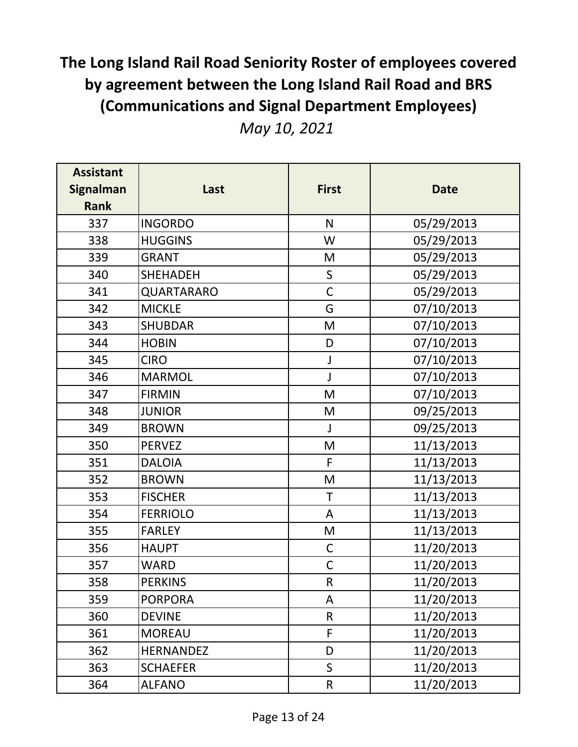|  |  | May 10, 2021 |
|--|--|--------------|
|--|--|--------------|

| <b>Assistant</b><br><b>Signalman</b><br><b>Rank</b> | Last             | <b>First</b> | <b>Date</b> |
|-----------------------------------------------------|------------------|--------------|-------------|
| 337                                                 | <b>INGORDO</b>   | N            | 05/29/2013  |
| 338                                                 | <b>HUGGINS</b>   | W            | 05/29/2013  |
| 339                                                 | <b>GRANT</b>     | M            | 05/29/2013  |
| 340                                                 | <b>SHEHADEH</b>  | S            | 05/29/2013  |
| 341                                                 | QUARTARARO       | $\mathsf C$  | 05/29/2013  |
| 342                                                 | <b>MICKLE</b>    | G            | 07/10/2013  |
| 343                                                 | <b>SHUBDAR</b>   | M            | 07/10/2013  |
| 344                                                 | <b>HOBIN</b>     | D            | 07/10/2013  |
| 345                                                 | <b>CIRO</b>      | J            | 07/10/2013  |
| 346                                                 | <b>MARMOL</b>    | J            | 07/10/2013  |
| 347                                                 | <b>FIRMIN</b>    | M            | 07/10/2013  |
| 348                                                 | <b>JUNIOR</b>    | M            | 09/25/2013  |
| 349                                                 | <b>BROWN</b>     | $\mathsf{J}$ | 09/25/2013  |
| 350                                                 | <b>PERVEZ</b>    | M            | 11/13/2013  |
| 351                                                 | <b>DALOIA</b>    | F            | 11/13/2013  |
| 352                                                 | <b>BROWN</b>     | M            | 11/13/2013  |
| 353                                                 | <b>FISCHER</b>   | T            | 11/13/2013  |
| 354                                                 | <b>FERRIOLO</b>  | A            | 11/13/2013  |
| 355                                                 | <b>FARLEY</b>    | M            | 11/13/2013  |
| 356                                                 | <b>HAUPT</b>     | $\mathsf C$  | 11/20/2013  |
| 357                                                 | WARD             | $\mathsf{C}$ | 11/20/2013  |
| 358                                                 | <b>PERKINS</b>   | ${\sf R}$    | 11/20/2013  |
| 359                                                 | <b>PORPORA</b>   | A            | 11/20/2013  |
| 360                                                 | <b>DEVINE</b>    | $\mathsf{R}$ | 11/20/2013  |
| 361                                                 | <b>MOREAU</b>    | F            | 11/20/2013  |
| 362                                                 | <b>HERNANDEZ</b> | D            | 11/20/2013  |
| 363                                                 | <b>SCHAEFER</b>  | $\mathsf{S}$ | 11/20/2013  |
| 364                                                 | ALFANO           | $\sf R$      | 11/20/2013  |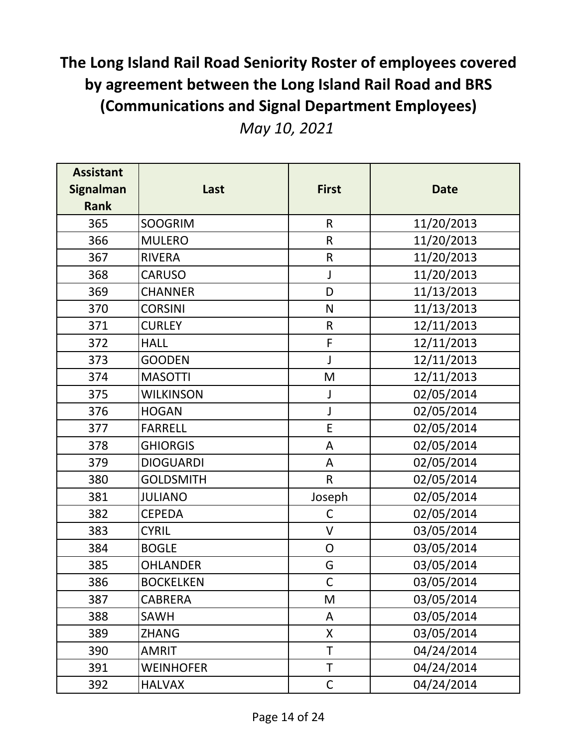| <b>Assistant</b><br><b>Signalman</b> | Last             | <b>First</b>   | <b>Date</b> |
|--------------------------------------|------------------|----------------|-------------|
| <b>Rank</b>                          |                  |                |             |
| 365                                  | <b>SOOGRIM</b>   | $\mathsf{R}$   | 11/20/2013  |
| 366                                  | <b>MULERO</b>    | $\mathsf R$    | 11/20/2013  |
| 367                                  | <b>RIVERA</b>    | $\mathsf R$    | 11/20/2013  |
| 368                                  | <b>CARUSO</b>    | J              | 11/20/2013  |
| 369                                  | <b>CHANNER</b>   | D              | 11/13/2013  |
| 370                                  | <b>CORSINI</b>   | N              | 11/13/2013  |
| 371                                  | <b>CURLEY</b>    | $\mathsf{R}$   | 12/11/2013  |
| 372                                  | <b>HALL</b>      | F              | 12/11/2013  |
| 373                                  | <b>GOODEN</b>    | J              | 12/11/2013  |
| 374                                  | <b>MASOTTI</b>   | M              | 12/11/2013  |
| 375                                  | <b>WILKINSON</b> | J              | 02/05/2014  |
| 376                                  | <b>HOGAN</b>     | J              | 02/05/2014  |
| 377                                  | <b>FARRELL</b>   | E              | 02/05/2014  |
| 378                                  | <b>GHIORGIS</b>  | A              | 02/05/2014  |
| 379                                  | <b>DIOGUARDI</b> | A              | 02/05/2014  |
| 380                                  | <b>GOLDSMITH</b> | $\mathsf R$    | 02/05/2014  |
| 381                                  | <b>JULIANO</b>   | Joseph         | 02/05/2014  |
| 382                                  | <b>CEPEDA</b>    | $\mathsf C$    | 02/05/2014  |
| 383                                  | <b>CYRIL</b>     | $\mathsf{V}$   | 03/05/2014  |
| 384                                  | <b>BOGLE</b>     | $\overline{O}$ | 03/05/2014  |
| 385                                  | <b>OHLANDER</b>  | G              | 03/05/2014  |
| 386                                  | <b>BOCKELKEN</b> | $\mathsf{C}$   | 03/05/2014  |
| 387                                  | <b>CABRERA</b>   | M              | 03/05/2014  |
| 388                                  | <b>SAWH</b>      | A              | 03/05/2014  |
| 389                                  | <b>ZHANG</b>     | X              | 03/05/2014  |
| 390                                  | <b>AMRIT</b>     | T              | 04/24/2014  |
| 391                                  | <b>WEINHOFER</b> | $\sf T$        | 04/24/2014  |
| 392                                  | <b>HALVAX</b>    | $\mathsf C$    | 04/24/2014  |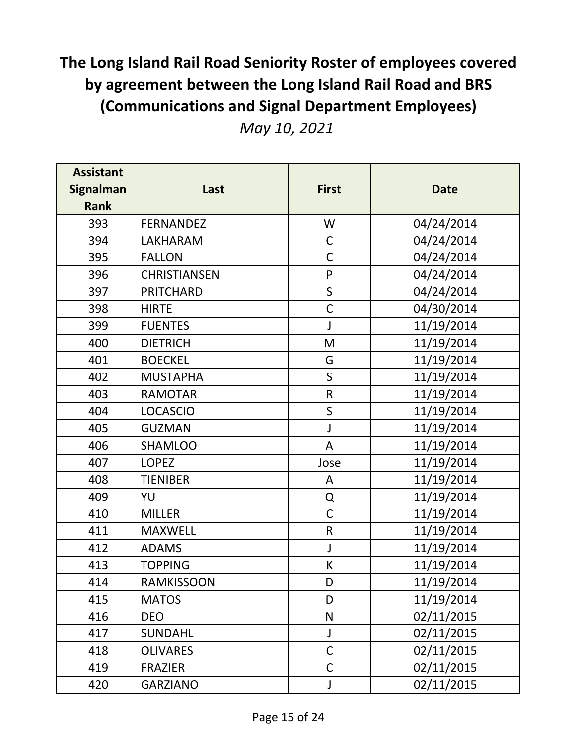|  |  | May 10, 2021 |
|--|--|--------------|
|--|--|--------------|

| <b>Assistant</b><br><b>Signalman</b> | Last                | <b>First</b> | <b>Date</b> |
|--------------------------------------|---------------------|--------------|-------------|
| <b>Rank</b>                          |                     |              |             |
| 393                                  | <b>FERNANDEZ</b>    | W            | 04/24/2014  |
| 394                                  | <b>LAKHARAM</b>     | $\mathsf C$  | 04/24/2014  |
| 395                                  | <b>FALLON</b>       | $\mathsf C$  | 04/24/2014  |
| 396                                  | <b>CHRISTIANSEN</b> | $\mathsf{P}$ | 04/24/2014  |
| 397                                  | <b>PRITCHARD</b>    | $\mathsf S$  | 04/24/2014  |
| 398                                  | <b>HIRTE</b>        | $\mathsf{C}$ | 04/30/2014  |
| 399                                  | <b>FUENTES</b>      | J            | 11/19/2014  |
| 400                                  | <b>DIETRICH</b>     | M            | 11/19/2014  |
| 401                                  | <b>BOECKEL</b>      | G            | 11/19/2014  |
| 402                                  | <b>MUSTAPHA</b>     | $\mathsf S$  | 11/19/2014  |
| 403                                  | <b>RAMOTAR</b>      | $\mathsf R$  | 11/19/2014  |
| 404                                  | <b>LOCASCIO</b>     | $\sf S$      | 11/19/2014  |
| 405                                  | <b>GUZMAN</b>       | J            | 11/19/2014  |
| 406                                  | <b>SHAMLOO</b>      | A            | 11/19/2014  |
| 407                                  | <b>LOPEZ</b>        | Jose         | 11/19/2014  |
| 408                                  | <b>TIENIBER</b>     | A            | 11/19/2014  |
| 409                                  | YU                  | Q            | 11/19/2014  |
| 410                                  | <b>MILLER</b>       | $\mathsf{C}$ | 11/19/2014  |
| 411                                  | <b>MAXWELL</b>      | $\mathsf R$  | 11/19/2014  |
| 412                                  | <b>ADAMS</b>        | J            | 11/19/2014  |
| 413                                  | <b>TOPPING</b>      | K            | 11/19/2014  |
| 414                                  | <b>RAMKISSOON</b>   | D            | 11/19/2014  |
| 415                                  | <b>MATOS</b>        | D            | 11/19/2014  |
| 416                                  | <b>DEO</b>          | N            | 02/11/2015  |
| 417                                  | <b>SUNDAHL</b>      | J            | 02/11/2015  |
| 418                                  | <b>OLIVARES</b>     | $\mathsf C$  | 02/11/2015  |
| 419                                  | <b>FRAZIER</b>      | $\mathsf C$  | 02/11/2015  |
| 420                                  | GARZIANO            | J            | 02/11/2015  |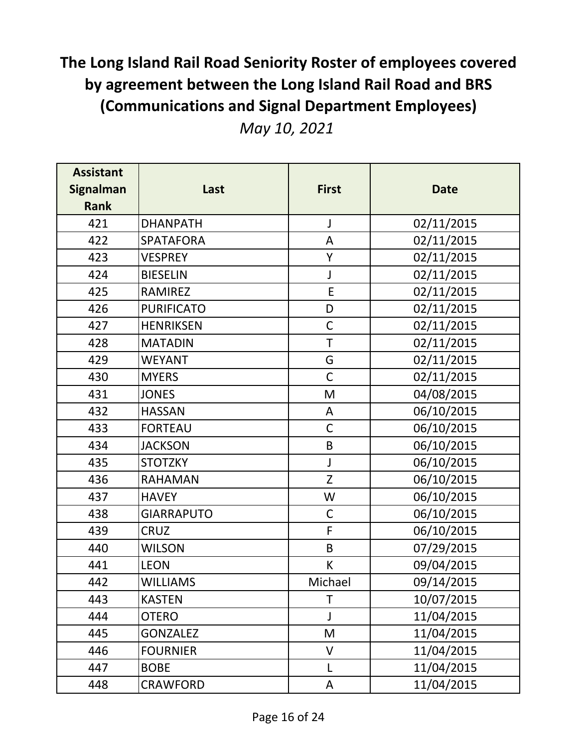|  |  | May 10, 2021 |
|--|--|--------------|
|--|--|--------------|

| <b>Assistant</b> |                   |              |             |
|------------------|-------------------|--------------|-------------|
| <b>Signalman</b> | Last              | <b>First</b> | <b>Date</b> |
| <b>Rank</b>      |                   |              |             |
| 421              | <b>DHANPATH</b>   | J            | 02/11/2015  |
| 422              | <b>SPATAFORA</b>  | A            | 02/11/2015  |
| 423              | <b>VESPREY</b>    | Y            | 02/11/2015  |
| 424              | <b>BIESELIN</b>   | J            | 02/11/2015  |
| 425              | <b>RAMIREZ</b>    | $\mathsf E$  | 02/11/2015  |
| 426              | <b>PURIFICATO</b> | D            | 02/11/2015  |
| 427              | <b>HENRIKSEN</b>  | $\mathsf C$  | 02/11/2015  |
| 428              | <b>MATADIN</b>    | T            | 02/11/2015  |
| 429              | <b>WEYANT</b>     | G            | 02/11/2015  |
| 430              | <b>MYERS</b>      | $\mathsf{C}$ | 02/11/2015  |
| 431              | <b>JONES</b>      | M            | 04/08/2015  |
| 432              | <b>HASSAN</b>     | A            | 06/10/2015  |
| 433              | <b>FORTEAU</b>    | $\mathsf C$  | 06/10/2015  |
| 434              | <b>JACKSON</b>    | $\sf B$      | 06/10/2015  |
| 435              | <b>STOTZKY</b>    | J            | 06/10/2015  |
| 436              | <b>RAHAMAN</b>    | Z            | 06/10/2015  |
| 437              | <b>HAVEY</b>      | W            | 06/10/2015  |
| 438              | <b>GIARRAPUTO</b> | $\mathsf C$  | 06/10/2015  |
| 439              | <b>CRUZ</b>       | F            | 06/10/2015  |
| 440              | <b>WILSON</b>     | B            | 07/29/2015  |
| 441              | <b>LEON</b>       | K            | 09/04/2015  |
| 442              | <b>WILLIAMS</b>   | Michael      | 09/14/2015  |
| 443              | <b>KASTEN</b>     | T            | 10/07/2015  |
| 444              | <b>OTERO</b>      | J            | 11/04/2015  |
| 445              | <b>GONZALEZ</b>   | M            | 11/04/2015  |
| 446              | <b>FOURNIER</b>   | V            | 11/04/2015  |
| 447              | <b>BOBE</b>       | L            | 11/04/2015  |
| 448              | CRAWFORD          | А            | 11/04/2015  |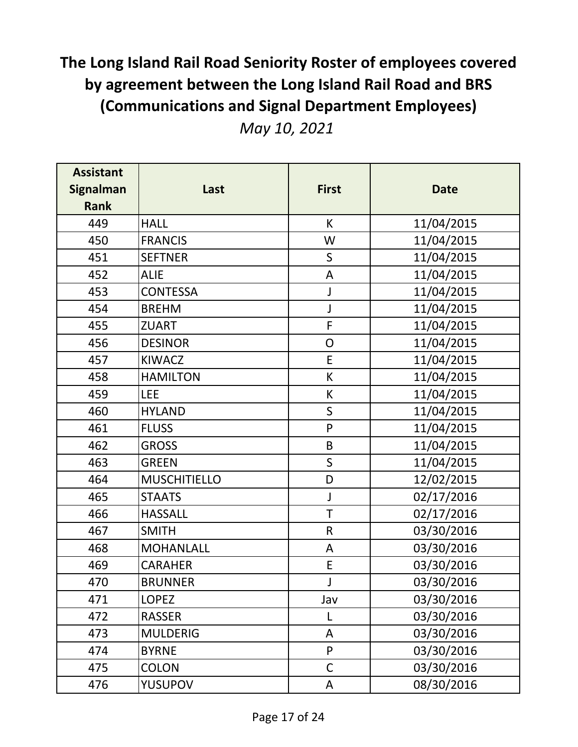|  |  | May 10, 2021 |
|--|--|--------------|
|--|--|--------------|

| <b>Assistant</b><br><b>Signalman</b><br><b>Rank</b> | Last                | <b>First</b>  | <b>Date</b> |
|-----------------------------------------------------|---------------------|---------------|-------------|
| 449                                                 | <b>HALL</b>         | K             | 11/04/2015  |
| 450                                                 | <b>FRANCIS</b>      | W             | 11/04/2015  |
| 451                                                 | <b>SEFTNER</b>      | $\mathsf S$   | 11/04/2015  |
| 452                                                 | <b>ALIE</b>         | A             | 11/04/2015  |
| 453                                                 | <b>CONTESSA</b>     | J             | 11/04/2015  |
| 454                                                 | <b>BREHM</b>        | J             | 11/04/2015  |
| 455                                                 | <b>ZUART</b>        | F             | 11/04/2015  |
| 456                                                 | <b>DESINOR</b>      | ${\mathsf O}$ | 11/04/2015  |
| 457                                                 | <b>KIWACZ</b>       | E             | 11/04/2015  |
| 458                                                 | <b>HAMILTON</b>     | K             | 11/04/2015  |
| 459                                                 | <b>LEE</b>          | K             | 11/04/2015  |
| 460                                                 | <b>HYLAND</b>       | $\mathsf{S}$  | 11/04/2015  |
| 461                                                 | <b>FLUSS</b>        | P             | 11/04/2015  |
| 462                                                 | <b>GROSS</b>        | B             | 11/04/2015  |
| 463                                                 | <b>GREEN</b>        | $\sf S$       | 11/04/2015  |
| 464                                                 | <b>MUSCHITIELLO</b> | D             | 12/02/2015  |
| 465                                                 | <b>STAATS</b>       | J             | 02/17/2016  |
| 466                                                 | <b>HASSALL</b>      | T             | 02/17/2016  |
| 467                                                 | <b>SMITH</b>        | $\mathsf R$   | 03/30/2016  |
| 468                                                 | <b>MOHANLALL</b>    | A             | 03/30/2016  |
| 469                                                 | <b>CARAHER</b>      | E             | 03/30/2016  |
| 470                                                 | <b>BRUNNER</b>      | J             | 03/30/2016  |
| 471                                                 | <b>LOPEZ</b>        | Jav           | 03/30/2016  |
| 472                                                 | <b>RASSER</b>       | L             | 03/30/2016  |
| 473                                                 | <b>MULDERIG</b>     | A             | 03/30/2016  |
| 474                                                 | <b>BYRNE</b>        | P             | 03/30/2016  |
| 475                                                 | <b>COLON</b>        | $\mathsf C$   | 03/30/2016  |
| 476                                                 | YUSUPOV             | A             | 08/30/2016  |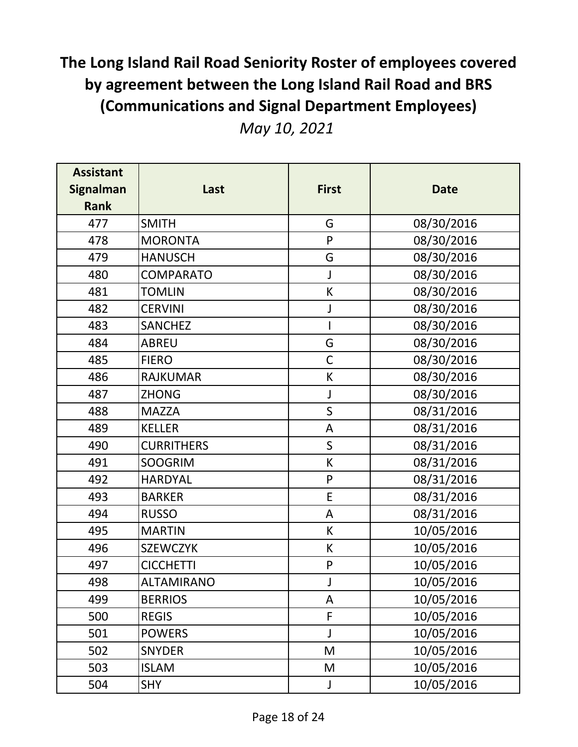| <b>Assistant</b><br><b>Signalman</b><br><b>Rank</b> | Last              | <b>First</b> | <b>Date</b> |
|-----------------------------------------------------|-------------------|--------------|-------------|
| 477                                                 | <b>SMITH</b>      | G            | 08/30/2016  |
| 478                                                 | <b>MORONTA</b>    | P            | 08/30/2016  |
| 479                                                 | <b>HANUSCH</b>    | G            | 08/30/2016  |
| 480                                                 | <b>COMPARATO</b>  | J            | 08/30/2016  |
| 481                                                 | <b>TOMLIN</b>     | К            | 08/30/2016  |
| 482                                                 | <b>CERVINI</b>    | J            | 08/30/2016  |
| 483                                                 | <b>SANCHEZ</b>    |              | 08/30/2016  |
| 484                                                 | <b>ABREU</b>      | G            | 08/30/2016  |
| 485                                                 | <b>FIERO</b>      | $\mathsf C$  | 08/30/2016  |
| 486                                                 | <b>RAJKUMAR</b>   | К            | 08/30/2016  |
| 487                                                 | <b>ZHONG</b>      | J            | 08/30/2016  |
| 488                                                 | <b>MAZZA</b>      | $\sf S$      | 08/31/2016  |
| 489                                                 | <b>KELLER</b>     | A            | 08/31/2016  |
| 490                                                 | <b>CURRITHERS</b> | $\mathsf{S}$ | 08/31/2016  |
| 491                                                 | <b>SOOGRIM</b>    | К            | 08/31/2016  |
| 492                                                 | <b>HARDYAL</b>    | $\mathsf{P}$ | 08/31/2016  |
| 493                                                 | <b>BARKER</b>     | E            | 08/31/2016  |
| 494                                                 | <b>RUSSO</b>      | A            | 08/31/2016  |
| 495                                                 | <b>MARTIN</b>     | K            | 10/05/2016  |
| 496                                                 | <b>SZEWCZYK</b>   | K            | 10/05/2016  |
| 497                                                 | <b>CICCHETTI</b>  | P            | 10/05/2016  |
| 498                                                 | ALTAMIRANO        |              | 10/05/2016  |
| 499                                                 | <b>BERRIOS</b>    | A            | 10/05/2016  |
| 500                                                 | <b>REGIS</b>      | F            | 10/05/2016  |
| 501                                                 | <b>POWERS</b>     | J            | 10/05/2016  |
| 502                                                 | <b>SNYDER</b>     | M            | 10/05/2016  |
| 503                                                 | <b>ISLAM</b>      | M            | 10/05/2016  |
| 504                                                 | <b>SHY</b>        | $\mathsf J$  | 10/05/2016  |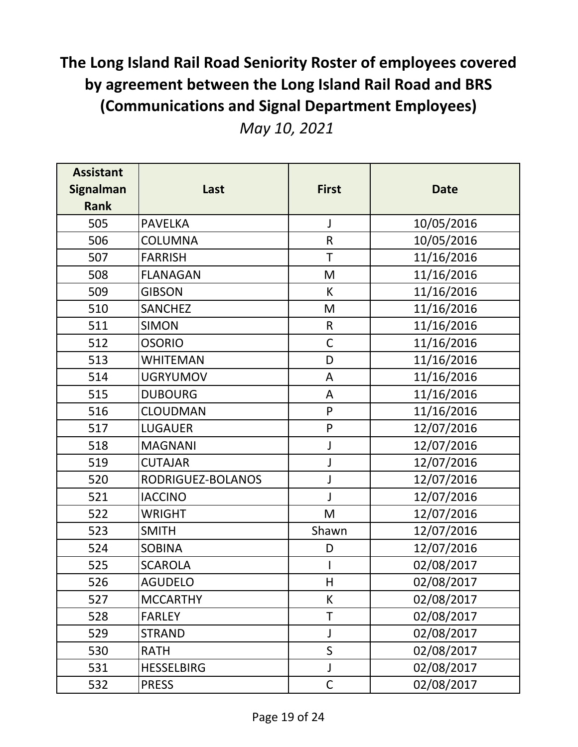|  |  | May 10, 2021 |
|--|--|--------------|
|--|--|--------------|

| <b>Assistant</b><br><b>Signalman</b><br><b>Rank</b> | Last              | <b>First</b> | <b>Date</b> |
|-----------------------------------------------------|-------------------|--------------|-------------|
| 505                                                 | <b>PAVELKA</b>    | J            | 10/05/2016  |
| 506                                                 | <b>COLUMNA</b>    | $\mathsf R$  | 10/05/2016  |
| 507                                                 | <b>FARRISH</b>    | T            | 11/16/2016  |
| 508                                                 | <b>FLANAGAN</b>   | M            | 11/16/2016  |
| 509                                                 | <b>GIBSON</b>     | K            | 11/16/2016  |
| 510                                                 | <b>SANCHEZ</b>    | M            | 11/16/2016  |
| 511                                                 | <b>SIMON</b>      | $\mathsf{R}$ | 11/16/2016  |
| 512                                                 | <b>OSORIO</b>     | $\mathsf C$  | 11/16/2016  |
| 513                                                 | WHITEMAN          | D            | 11/16/2016  |
| 514                                                 | <b>UGRYUMOV</b>   | A            | 11/16/2016  |
| 515                                                 | <b>DUBOURG</b>    | A            | 11/16/2016  |
| 516                                                 | <b>CLOUDMAN</b>   | P            | 11/16/2016  |
| 517                                                 | <b>LUGAUER</b>    | ${\sf P}$    | 12/07/2016  |
| 518                                                 | <b>MAGNANI</b>    | J            | 12/07/2016  |
| 519                                                 | <b>CUTAJAR</b>    | J            | 12/07/2016  |
| 520                                                 | RODRIGUEZ-BOLANOS | J            | 12/07/2016  |
| 521                                                 | <b>IACCINO</b>    | J            | 12/07/2016  |
| 522                                                 | <b>WRIGHT</b>     | M            | 12/07/2016  |
| 523                                                 | <b>SMITH</b>      | Shawn        | 12/07/2016  |
| 524                                                 | <b>SOBINA</b>     | D            | 12/07/2016  |
| 525                                                 | <b>SCAROLA</b>    |              | 02/08/2017  |
| 526                                                 | <b>AGUDELO</b>    | H            | 02/08/2017  |
| 527                                                 | <b>MCCARTHY</b>   | K            | 02/08/2017  |
| 528                                                 | <b>FARLEY</b>     | T            | 02/08/2017  |
| 529                                                 | STRAND            | J            | 02/08/2017  |
| 530                                                 | RATH              | $\mathsf S$  | 02/08/2017  |
| 531                                                 | <b>HESSELBIRG</b> | J            | 02/08/2017  |
| 532                                                 | <b>PRESS</b>      | $\mathsf C$  | 02/08/2017  |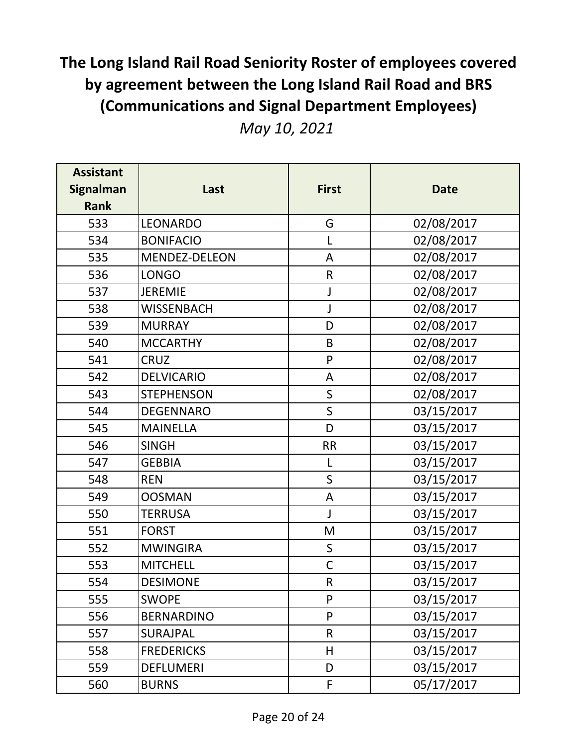| <b>Assistant</b><br><b>Signalman</b><br><b>Rank</b> | Last              | <b>First</b> | <b>Date</b> |
|-----------------------------------------------------|-------------------|--------------|-------------|
| 533                                                 | <b>LEONARDO</b>   | G            | 02/08/2017  |
| 534                                                 | <b>BONIFACIO</b>  | L            | 02/08/2017  |
| 535                                                 | MENDEZ-DELEON     | A            | 02/08/2017  |
| 536                                                 | <b>LONGO</b>      | $\mathsf{R}$ | 02/08/2017  |
| 537                                                 | <b>JEREMIE</b>    | J            | 02/08/2017  |
| 538                                                 | <b>WISSENBACH</b> | J            | 02/08/2017  |
| 539                                                 | <b>MURRAY</b>     | D            | 02/08/2017  |
| 540                                                 | <b>MCCARTHY</b>   | B            | 02/08/2017  |
| 541                                                 | <b>CRUZ</b>       | P            | 02/08/2017  |
| 542                                                 | <b>DELVICARIO</b> | A            | 02/08/2017  |
| 543                                                 | <b>STEPHENSON</b> | $\mathsf S$  | 02/08/2017  |
| 544                                                 | <b>DEGENNARO</b>  | $\mathsf S$  | 03/15/2017  |
| 545                                                 | <b>MAINELLA</b>   | D            | 03/15/2017  |
| 546                                                 | <b>SINGH</b>      | <b>RR</b>    | 03/15/2017  |
| 547                                                 | <b>GEBBIA</b>     | L            | 03/15/2017  |
| 548                                                 | <b>REN</b>        | $\mathsf{S}$ | 03/15/2017  |
| 549                                                 | <b>OOSMAN</b>     | A            | 03/15/2017  |
| 550                                                 | <b>TERRUSA</b>    | J            | 03/15/2017  |
| 551                                                 | <b>FORST</b>      | M            | 03/15/2017  |
| 552                                                 | <b>MWINGIRA</b>   | S            | 03/15/2017  |
| 553                                                 | <b>MITCHELL</b>   | $\mathsf C$  | 03/15/2017  |
| 554                                                 | <b>DESIMONE</b>   | R            | 03/15/2017  |
| 555                                                 | <b>SWOPE</b>      | P            | 03/15/2017  |
| 556                                                 | <b>BERNARDINO</b> | P            | 03/15/2017  |
| 557                                                 | SURAJPAL          | $\mathsf{R}$ | 03/15/2017  |
| 558                                                 | <b>FREDERICKS</b> | H            | 03/15/2017  |
| 559                                                 | <b>DEFLUMERI</b>  | D            | 03/15/2017  |
| 560                                                 | <b>BURNS</b>      | F            | 05/17/2017  |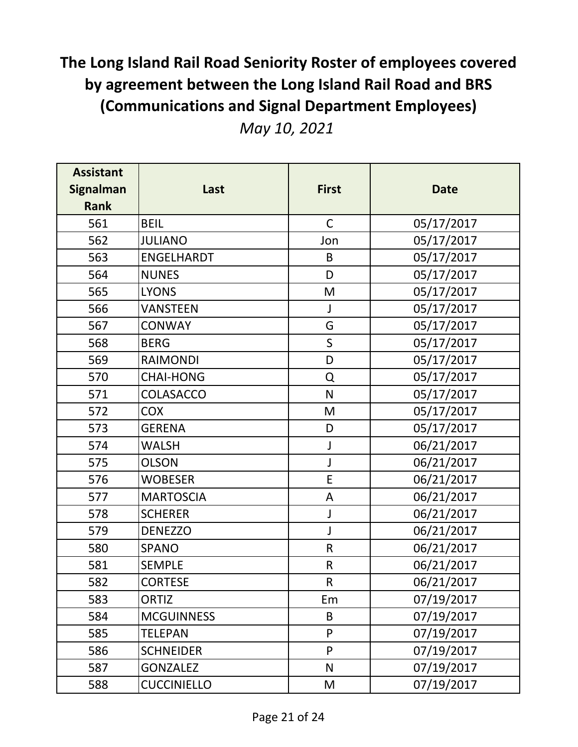| <b>Assistant</b><br><b>Signalman</b><br><b>Rank</b> | Last               | <b>First</b> | <b>Date</b> |
|-----------------------------------------------------|--------------------|--------------|-------------|
| 561                                                 | <b>BEIL</b>        | $\mathsf C$  | 05/17/2017  |
| 562                                                 | <b>JULIANO</b>     | Jon          | 05/17/2017  |
| 563                                                 | <b>ENGELHARDT</b>  | B            | 05/17/2017  |
| 564                                                 | <b>NUNES</b>       | D            | 05/17/2017  |
| 565                                                 | <b>LYONS</b>       | M            | 05/17/2017  |
| 566                                                 | <b>VANSTEEN</b>    | $\mathsf J$  | 05/17/2017  |
| 567                                                 | <b>CONWAY</b>      | G            | 05/17/2017  |
| 568                                                 | <b>BERG</b>        | $\mathsf{S}$ | 05/17/2017  |
| 569                                                 | <b>RAIMONDI</b>    | D            | 05/17/2017  |
| 570                                                 | <b>CHAI-HONG</b>   | Q            | 05/17/2017  |
| 571                                                 | COLASACCO          | N            | 05/17/2017  |
| 572                                                 | <b>COX</b>         | M            | 05/17/2017  |
| 573                                                 | <b>GERENA</b>      | D            | 05/17/2017  |
| 574                                                 | <b>WALSH</b>       | J            | 06/21/2017  |
| 575                                                 | <b>OLSON</b>       | J            | 06/21/2017  |
| 576                                                 | <b>WOBESER</b>     | E            | 06/21/2017  |
| 577                                                 | <b>MARTOSCIA</b>   | A            | 06/21/2017  |
| 578                                                 | <b>SCHERER</b>     | J            | 06/21/2017  |
| 579                                                 | <b>DENEZZO</b>     | J            | 06/21/2017  |
| 580                                                 | <b>SPANO</b>       | $\mathsf R$  | 06/21/2017  |
| 581                                                 | <b>SEMPLE</b>      | ${\sf R}$    | 06/21/2017  |
| 582                                                 | <b>CORTESE</b>     | R            | 06/21/2017  |
| 583                                                 | <b>ORTIZ</b>       | Em           | 07/19/2017  |
| 584                                                 | <b>MCGUINNESS</b>  | B            | 07/19/2017  |
| 585                                                 | <b>TELEPAN</b>     | P            | 07/19/2017  |
| 586                                                 | <b>SCHNEIDER</b>   | P            | 07/19/2017  |
| 587                                                 | <b>GONZALEZ</b>    | $\mathsf{N}$ | 07/19/2017  |
| 588                                                 | <b>CUCCINIELLO</b> | M            | 07/19/2017  |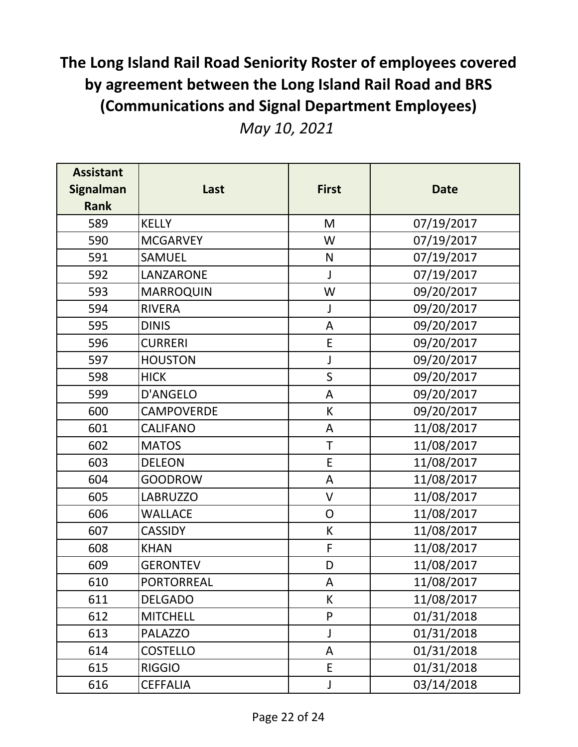| <b>Assistant</b><br><b>Signalman</b><br><b>Rank</b> | Last              | <b>First</b>   | <b>Date</b> |
|-----------------------------------------------------|-------------------|----------------|-------------|
| 589                                                 | <b>KELLY</b>      | M              | 07/19/2017  |
| 590                                                 | <b>MCGARVEY</b>   | W              | 07/19/2017  |
| 591                                                 | SAMUEL            | $\mathsf{N}$   | 07/19/2017  |
| 592                                                 | LANZARONE         | $\mathsf{J}$   | 07/19/2017  |
| 593                                                 | <b>MARROQUIN</b>  | W              | 09/20/2017  |
| 594                                                 | <b>RIVERA</b>     | J              | 09/20/2017  |
| 595                                                 | <b>DINIS</b>      | A              | 09/20/2017  |
| 596                                                 | <b>CURRERI</b>    | E              | 09/20/2017  |
| 597                                                 | <b>HOUSTON</b>    | J              | 09/20/2017  |
| 598                                                 | <b>HICK</b>       | $\mathsf S$    | 09/20/2017  |
| 599                                                 | D'ANGELO          | A              | 09/20/2017  |
| 600                                                 | <b>CAMPOVERDE</b> | К              | 09/20/2017  |
| 601                                                 | <b>CALIFANO</b>   | A              | 11/08/2017  |
| 602                                                 | <b>MATOS</b>      | T              | 11/08/2017  |
| 603                                                 | <b>DELEON</b>     | E              | 11/08/2017  |
| 604                                                 | <b>GOODROW</b>    | A              | 11/08/2017  |
| 605                                                 | <b>LABRUZZO</b>   | V              | 11/08/2017  |
| 606                                                 | <b>WALLACE</b>    | $\overline{O}$ | 11/08/2017  |
| 607                                                 | <b>CASSIDY</b>    | K              | 11/08/2017  |
| 608                                                 | <b>KHAN</b>       | F              | 11/08/2017  |
| 609                                                 | <b>GERONTEV</b>   | D              | 11/08/2017  |
| 610                                                 | <b>PORTORREAL</b> | A              | 11/08/2017  |
| 611                                                 | <b>DELGADO</b>    | K              | 11/08/2017  |
| 612                                                 | <b>MITCHELL</b>   | P              | 01/31/2018  |
| 613                                                 | <b>PALAZZO</b>    | J              | 01/31/2018  |
| 614                                                 | <b>COSTELLO</b>   | A              | 01/31/2018  |
| 615                                                 | <b>RIGGIO</b>     | E.             | 01/31/2018  |
| 616                                                 | <b>CEFFALIA</b>   | $\mathsf J$    | 03/14/2018  |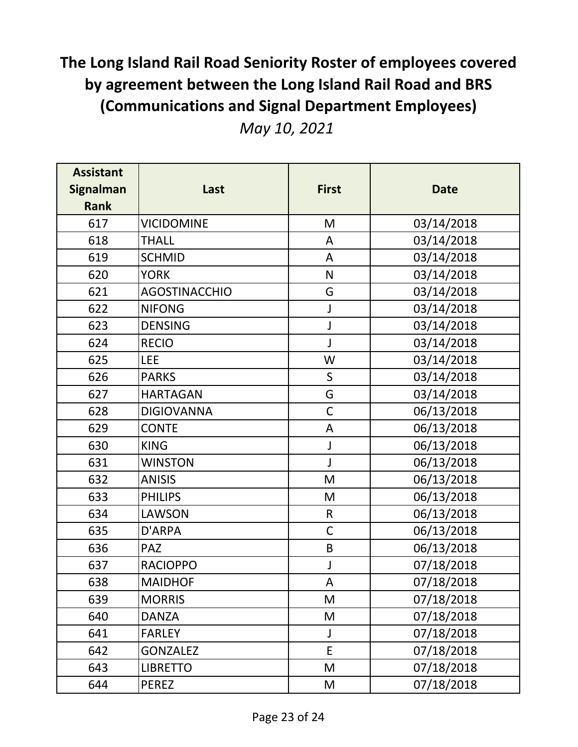|  |  | May 10, 2021 |
|--|--|--------------|
|--|--|--------------|

| <b>Assistant</b><br><b>Signalman</b><br><b>Rank</b> | Last                 | <b>First</b> | <b>Date</b> |
|-----------------------------------------------------|----------------------|--------------|-------------|
| 617                                                 | <b>VICIDOMINE</b>    | M            | 03/14/2018  |
| 618                                                 | <b>THALL</b>         | A            | 03/14/2018  |
| 619                                                 | <b>SCHMID</b>        | A            | 03/14/2018  |
| 620                                                 | <b>YORK</b>          | ${\sf N}$    | 03/14/2018  |
| 621                                                 | <b>AGOSTINACCHIO</b> | G            | 03/14/2018  |
| 622                                                 | <b>NIFONG</b>        | J            | 03/14/2018  |
| 623                                                 | <b>DENSING</b>       | J            | 03/14/2018  |
| 624                                                 | <b>RECIO</b>         | J            | 03/14/2018  |
| 625                                                 | <b>LEE</b>           | W            | 03/14/2018  |
| 626                                                 | <b>PARKS</b>         | $\mathsf{S}$ | 03/14/2018  |
| 627                                                 | <b>HARTAGAN</b>      | G            | 03/14/2018  |
| 628                                                 | <b>DIGIOVANNA</b>    | $\mathsf C$  | 06/13/2018  |
| 629                                                 | <b>CONTE</b>         | A            | 06/13/2018  |
| 630                                                 | <b>KING</b>          | J            | 06/13/2018  |
| 631                                                 | <b>WINSTON</b>       | J            | 06/13/2018  |
| 632                                                 | <b>ANISIS</b>        | M            | 06/13/2018  |
| 633                                                 | <b>PHILIPS</b>       | M            | 06/13/2018  |
| 634                                                 | LAWSON               | $\mathsf R$  | 06/13/2018  |
| 635                                                 | D'ARPA               | $\mathsf{C}$ | 06/13/2018  |
| 636                                                 | PAZ                  | B            | 06/13/2018  |
| 637                                                 | <b>RACIOPPO</b>      | J            | 07/18/2018  |
| 638                                                 | <b>MAIDHOF</b>       | А            | 07/18/2018  |
| 639                                                 | <b>MORRIS</b>        | M            | 07/18/2018  |
| 640                                                 | <b>DANZA</b>         | M            | 07/18/2018  |
| 641                                                 | <b>FARLEY</b>        | J            | 07/18/2018  |
| 642                                                 | <b>GONZALEZ</b>      | E            | 07/18/2018  |
| 643                                                 | <b>LIBRETTO</b>      | M            | 07/18/2018  |
| 644                                                 | <b>PEREZ</b>         | M            | 07/18/2018  |